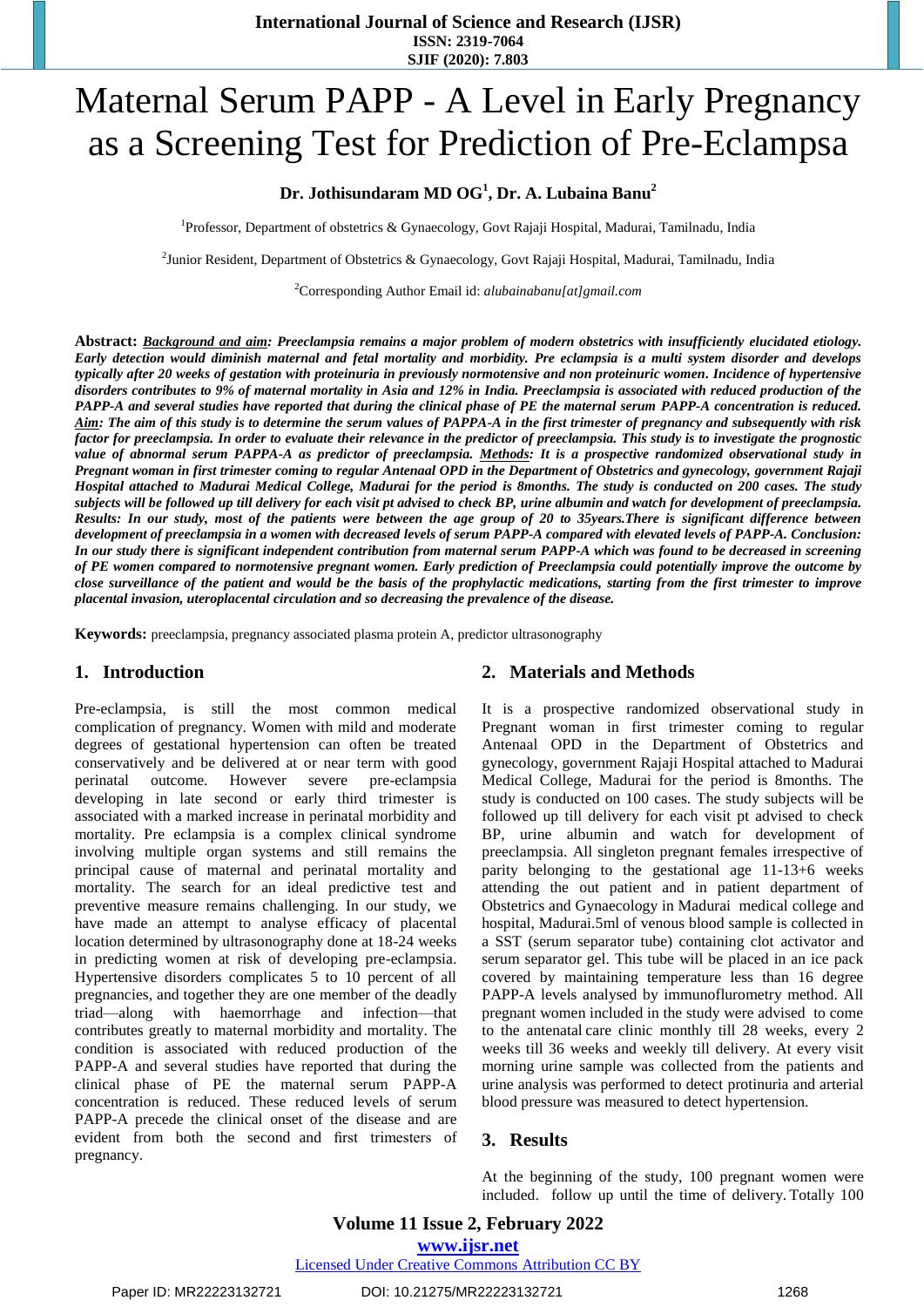# Maternal Serum PAPP - A Level in Early Pregnancy as a Screening Test for Prediction of Pre-Eclampsa

## **Dr. Jothisundaram MD OG<sup>1</sup> , Dr. A. Lubaina Banu<sup>2</sup>**

<sup>1</sup>Professor, Department of obstetrics & Gynaecology, Govt Rajaji Hospital, Madurai, Tamilnadu, India

<sup>2</sup>Junior Resident, Department of Obstetrics & Gynaecology, Govt Rajaji Hospital, Madurai, Tamilnadu, India

<sup>2</sup>Corresponding Author Email id: *alubainabanu[at]gmail.com*

**Abstract:** *Background and aim: Preeclampsia remains a major problem of modern obstetrics with insufficiently elucidated etiology. Early detection would diminish maternal and fetal mortality and morbidity. Pre eclampsia is a multi system disorder and develops typically after 20 weeks of gestation with proteinuria in previously normotensive and non proteinuric women. Incidence of hypertensive disorders contributes to 9% of maternal mortality in Asia and 12% in India. Preeclampsia is associated with reduced production of the PAPP-A and several studies have reported that during the clinical phase of PE the maternal serum PAPP-A concentration is reduced. Aim: The aim of this study is to determine the serum values of PAPPA-A in the first trimester of pregnancy and subsequently with risk factor for preeclampsia. In order to evaluate their relevance in the predictor of preeclampsia. This study is to investigate the prognostic value of abnormal serum PAPPA-A as predictor of preeclampsia. Methods: It is a prospective randomized observational study in Pregnant woman in first trimester coming to regular Antenaal OPD in the Department of Obstetrics and gynecology, government Rajaji Hospital attached to Madurai Medical College, Madurai for the period is 8months. The study is conducted on 200 cases. The study subjects will be followed up till delivery for each visit pt advised to check BP, urine albumin and watch for development of preeclampsia. Results: In our study, most of the patients were between the age group of 20 to 35years.There is significant difference between development of preeclampsia in a women with decreased levels of serum PAPP-A compared with elevated levels of PAPP-A. Conclusion: In our study there is significant independent contribution from maternal serum PAPP-A which was found to be decreased in screening of PE women compared to normotensive pregnant women. Early prediction of Preeclampsia could potentially improve the outcome by close surveillance of the patient and would be the basis of the prophylactic medications, starting from the first trimester to improve placental invasion, uteroplacental circulation and so decreasing the prevalence of the disease.*

**Keywords:** preeclampsia, pregnancy associated plasma protein A, predictor ultrasonography

### **1. Introduction**

Pre-eclampsia, is still the most common medical complication of pregnancy. Women with mild and moderate degrees of gestational hypertension can often be treated conservatively and be delivered at or near term with good perinatal outcome. However severe pre-eclampsia developing in late second or early third trimester is associated with a marked increase in perinatal morbidity and mortality. Pre eclampsia is a complex clinical syndrome involving multiple organ systems and still remains the principal cause of maternal and perinatal mortality and mortality. The search for an ideal predictive test and preventive measure remains challenging. In our study, we have made an attempt to analyse efficacy of placental location determined by ultrasonography done at 18-24 weeks in predicting women at risk of developing pre-eclampsia. Hypertensive disorders complicates 5 to 10 percent of all pregnancies, and together they are one member of the deadly triad—along with haemorrhage and infection—that contributes greatly to maternal morbidity and mortality. The condition is associated with reduced production of the PAPP-A and several studies have reported that during the clinical phase of PE the maternal serum PAPP-A concentration is reduced. These reduced levels of serum PAPP-A precede the clinical onset of the disease and are evident from both the second and first trimesters of pregnancy.

## **2. Materials and Methods**

It is a prospective randomized observational study in Pregnant woman in first trimester coming to regular Antenaal OPD in the Department of Obstetrics and gynecology, government Rajaji Hospital attached to Madurai Medical College, Madurai for the period is 8months. The study is conducted on 100 cases. The study subjects will be followed up till delivery for each visit pt advised to check BP, urine albumin and watch for development of preeclampsia. All singleton pregnant females irrespective of parity belonging to the gestational age 11-13+6 weeks attending the out patient and in patient department of Obstetrics and Gynaecology in Madurai medical college and hospital, Madurai.5ml of venous blood sample is collected in a SST (serum separator tube) containing clot activator and serum separator gel. This tube will be placed in an ice pack covered by maintaining temperature less than 16 degree PAPP-A levels analysed by immunoflurometry method. All pregnant women included in the study were advised to come to the antenatal care clinic monthly till 28 weeks, every 2 weeks till 36 weeks and weekly till delivery. At every visit morning urine sample was collected from the patients and urine analysis was performed to detect protinuria and arterial blood pressure was measured to detect hypertension.

#### **3. Results**

At the beginning of the study, 100 pregnant women were included. follow up until the time of delivery. Totally 100

**Volume 11 Issue 2, February 2022 www.ijsr.net** Licensed Under Creative Commons Attribution CC BY